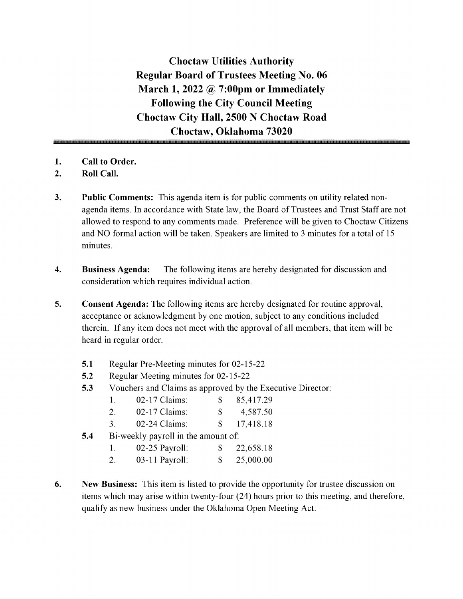Choctaw Utilities Authority Regular Board of Trustees Meeting No. 06 March 1, 2022  $\omega$  7:00pm or Immediately Following the City Council Meeting Choctaw City Hall, 2500 N Choctaw Road Choctaw, Oklahoma 73020

- 1. Call to Order.
- 2. Roll Call.
- 3. Public Comments: This agenda item is for public comments on utility related nonagenda items. In accordance with State law, the Board of Trustees and Trust Staff are not allowed to respond to any comments made. Preference will be given to Choctaw Citizens and NO formal action will be taken. Speakers are limited to <sup>3</sup> minutes for <sup>a</sup> total of <sup>15</sup> minutes.
- 4. Business Agenda: The following items are hereby designated for discussion and consideration which requires individual action.
- 5. Consent Agenda: The following items are hereby designated for routine approval, acceptance or acknowledgment by one motion, subject to any conditions included therein. If any item does not meet with the approval of all members, that item will be heard in regular order.
	- 5.1 Regular Pre-Meeting minutes for 02-15-22
	- 5.2 Regular Meeting minutes for 02-15-22
	- 5.3 Vouchers and Claims as approved by the Executive Director:

|  | $02-17$ Claims: |  | 85,417.29 |
|--|-----------------|--|-----------|
|--|-----------------|--|-----------|

| Z. | 02-17 Claims: | 4,587.50 |
|----|---------------|----------|
|    |               |          |

- 3. 02-24 Claims: \$ 17,418.18
- **5.4** Bi-weekly payroll in the amount of:

| $02-25$ Payroll: | 22,658.18 |
|------------------|-----------|
| $03-11$ Payroll: | 25,000.00 |

6. New Business: This item is listed to provide the opportunity for trustee discussion on items which may arise within twenty-four (24) hours prior to this meeting, and therefore, qualify as new business under the Oklahoma Open Meeting Act.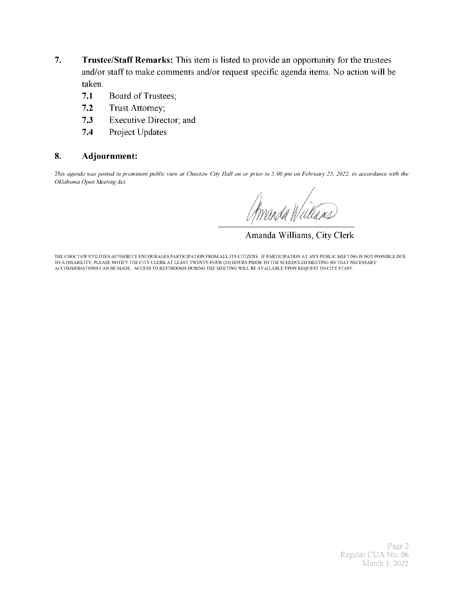- 7. Trustee/Staff Remarks: This item is listed to provide an opportunity for the trustees and/or staff to make comments and/or request specific agenda items. No action will be taken.
	- 7.1 Board of Trustees;
	- 7.2 Trust Attorney;
	- 7.3 Executive Director; and
	- 7.4 Project Updates

#### 8. Adjournment:

This agenda was posted in prominent public view at Choctaw City Hall on or prior to 5: 00 pm on February 25, 2022, in accordance with the Oklahoma Open Meeting Act.

f A

Amanda Williams, City Clerk

THE CHOCTAW UTILITIES AUTHORITY ENCOURAGES PARTICIPATION FROM ALL ITS CITIZENS. IF PARTICIPATION AT ANY PUBLIC MEETING IS NOT POSSIBLE DUE TO A DISABILITY, PLEASE NOTIFY THE CITY CLERK AT LEAST TWENTY- FOUR( 24) HOURS PRIOR TO THE SCHEDULED MEETING SO THAT NECESSARY ACCOMMODATIONS CAN BE MADE. ACCESS TO RESTROOMS DURING THE MEETING WILL BE AVAILABLE UPON REQUEST TO CITY STAFF.

> Page 2 Regular CUA No. 06 March 1, 2022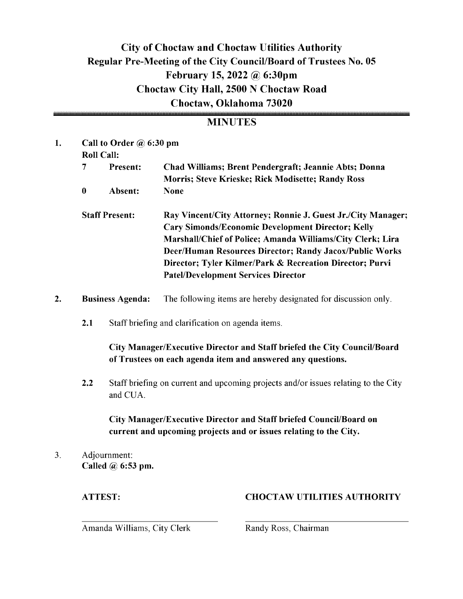### City of Choctaw and Choctaw Utilities Authority Regular Pre-Meeting of the City Council/Board of Trustees No. 05 February 15, 2022 @ 6:30pm Choctaw City Hall, 2500 N Choctaw Road Choctaw, Oklahoma 73020

#### **MINUTES**

| 1.             | Call to Order @ 6:30 pm |                                                                                                                                         |                                                                                                                                                                                                                                                                                                                                                             |  |  |  |  |
|----------------|-------------------------|-----------------------------------------------------------------------------------------------------------------------------------------|-------------------------------------------------------------------------------------------------------------------------------------------------------------------------------------------------------------------------------------------------------------------------------------------------------------------------------------------------------------|--|--|--|--|
|                |                         | <b>Roll Call:</b>                                                                                                                       |                                                                                                                                                                                                                                                                                                                                                             |  |  |  |  |
|                | $\overline{7}$          | Present:                                                                                                                                | Chad Williams; Brent Pendergraft; Jeannie Abts; Donna<br>Morris; Steve Krieske; Rick Modisette; Randy Ross                                                                                                                                                                                                                                                  |  |  |  |  |
|                | $\bf{0}$                | Absent:                                                                                                                                 | <b>None</b>                                                                                                                                                                                                                                                                                                                                                 |  |  |  |  |
|                | <b>Staff Present:</b>   |                                                                                                                                         | Ray Vincent/City Attorney; Ronnie J. Guest Jr./City Manager;<br><b>Cary Simonds/Economic Development Director; Kelly</b><br>Marshall/Chief of Police; Amanda Williams/City Clerk; Lira<br>Deer/Human Resources Director; Randy Jacox/Public Works<br>Director; Tyler Kilmer/Park & Recreation Director; Purvi<br><b>Patel/Development Services Director</b> |  |  |  |  |
| 2.             | <b>Business Agenda:</b> |                                                                                                                                         | The following items are hereby designated for discussion only.                                                                                                                                                                                                                                                                                              |  |  |  |  |
|                | 2.1                     |                                                                                                                                         | Staff briefing and clarification on agenda items.                                                                                                                                                                                                                                                                                                           |  |  |  |  |
|                |                         | City Manager/Executive Director and Staff briefed the City Council/Board<br>of Trustees on each agenda item and answered any questions. |                                                                                                                                                                                                                                                                                                                                                             |  |  |  |  |
|                | 2.2                     | Staff briefing on current and upcoming projects and/or issues relating to the City<br>and CUA.                                          |                                                                                                                                                                                                                                                                                                                                                             |  |  |  |  |
|                |                         | City Manager/Executive Director and Staff briefed Council/Board on<br>current and upcoming projects and or issues relating to the City. |                                                                                                                                                                                                                                                                                                                                                             |  |  |  |  |
| 3 <sub>1</sub> |                         | Adjournment:<br>Called $\omega$ 6:53 pm.                                                                                                |                                                                                                                                                                                                                                                                                                                                                             |  |  |  |  |

#### ATTEST: CHOCTAW UTILITIES AUTHORITY

Amanda Williams, City Clerk Randy Ross, Chairman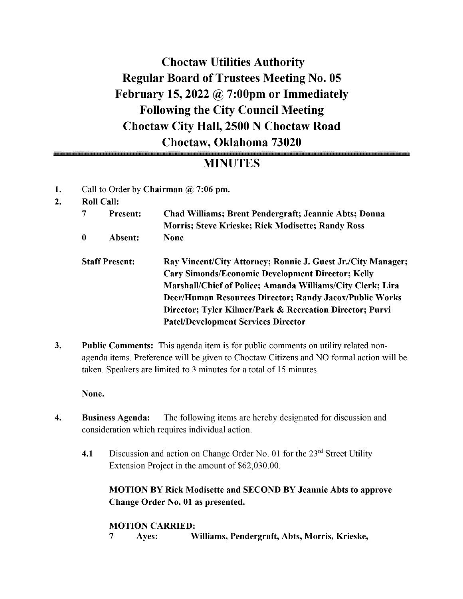## Choctaw Utilities Authority Regular Board of Trustees Meeting No. 05 February 15, 2022  $\omega$  7:00pm or Immediately Following the City Council Meeting Choctaw City Hall, 2500 N Choctaw Road Choctaw, Oklahoma 73020

### MINUTES

- 1. Call to Order by Chairman @ 7:06 pm.
- 2. Roll Call:

|   | <b>Present:</b>       | Chad Williams; Brent Pendergraft; Jeannie Abts; Donna<br><b>Morris; Steve Krieske; Rick Modisette; Randy Ross</b> |  |  |  |  |
|---|-----------------------|-------------------------------------------------------------------------------------------------------------------|--|--|--|--|
| 0 | Absent:               | None                                                                                                              |  |  |  |  |
|   | <b>Staff Present:</b> | Ray Vincent/City Attorney; Ronnie J. Guest Jr./City Manager;                                                      |  |  |  |  |
|   |                       | <b>Cary Simonds/Economic Development Director; Kelly</b>                                                          |  |  |  |  |
|   |                       | Marshall/Chief of Police; Amanda Williams/City Clerk; Lira                                                        |  |  |  |  |
|   |                       | Deer/Human Resources Director; Randy Jacox/Public Works                                                           |  |  |  |  |
|   |                       | Director; Tyler Kilmer/Park & Recreation Director; Purvi                                                          |  |  |  |  |
|   |                       | <b>Patel/Development Services Director</b>                                                                        |  |  |  |  |
|   |                       |                                                                                                                   |  |  |  |  |

3. Public Comments: This agenda item is for public comments on utility related nonagenda items. Preference will be given to Choctaw Citizens and NO formal action will be taken. Speakers are limited to <sup>3</sup> minutes for <sup>a</sup> total of 15 minutes.

None.

- 4. Business Agenda: The following items are hereby designated for discussion and consideration which requires individual action.
	- 4.1 Discussion and action on Change Order No. 01 for the 23<sup>rd</sup> Street Utility Extension Project in the amount of \$62,030.00.

MOTION BY Rick Modisette and SECOND BY Jeannie Abts to approve Change Order No. 01 as presented.

#### MOTION CARRIED:

7 Ayes: Williams, Pendergraft, Abts, Morris, Krieske,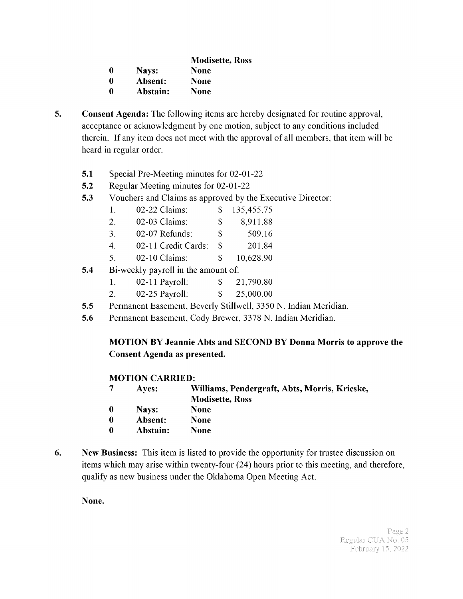| <b>Modisette, Ross</b> |  |
|------------------------|--|
|------------------------|--|

0 Nays: None

<sup>0</sup> Absent: None

0 Abstain: None

- 5. Consent Agenda: The following items are hereby designated for routine approval, acceptance or acknowledgment by one motion, subject to any conditions included therein. If any item does not meet with the approval of all members, that item will be heard in regular order.
	- 5.1 Special Pre-Meeting minutes for 02-01-22
	- 5.2 Regular Meeting minutes for 02-01-22
	- 5.3 Vouchers and Claims as approved by the Executive Director:

| $02-22$ Claims: | 135,455.75 |
|-----------------|------------|
|                 |            |

- 2. 02-03 Claims: \$ 8,911.88
- 3. 02-07 Refunds: \$ 509.16
- 4. 02- 11 Credit Cards: \$ 201. 84
- 5. 02-10 Claims: \$ 10,628.90
- **5.4** Bi-weekly payroll in the amount of:
	- 1. 02-11 Payroll: \$ 21,790.80
	- 2. 02-25 Payroll: \$ 25,000.00
- 5.5 Permanent Easement, Beverly Stillwell, 3350 N. Indian Meridian.
- 5.6 Permanent Easement, Cody Brewer, 3378 N. Indian Meridian.

#### MOTION BY Jeannie Abts and SECOND BY Donna Morris to approve the Consent Agenda as presented.

#### MOTION CARRIED:

- <sup>7</sup> Ayes: Williams, Pendergraft, Abts, Morris, Krieske, Modisette, Ross
- 0 Nays: None
- <sup>0</sup> Absent: None
- 0 Abstain: None
- 6. New Business: This item is listed to provide the opportunity for trustee discussion on items which may arise within twenty-four (24) hours prior to this meeting, and therefore, qualify as new business under the Oklahoma Open Meeting Act.

None.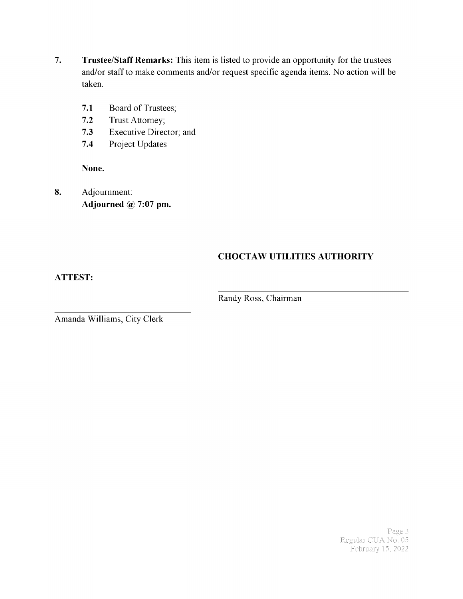- 7. Trustee/Staff Remarks: This item is listed to provide an opportunity for the trustees and/or staff to make comments and/or request specific agenda items. No action will be taken.
	- 7.1 Board of Trustees;
	- 7.2 Trust Attorney;
	- 7.3 Executive Director; and
	- 7.4 Project Updates

None.

8. Adjournment: Adjourned  $@$  7:07 pm.

### CHOCTAW UTILITIES AUTHORITY

ATTEST:

Randy Ross, Chairman

Amanda Williams, City Clerk

Page 3 Regular CUA No. 05 February 15, 2022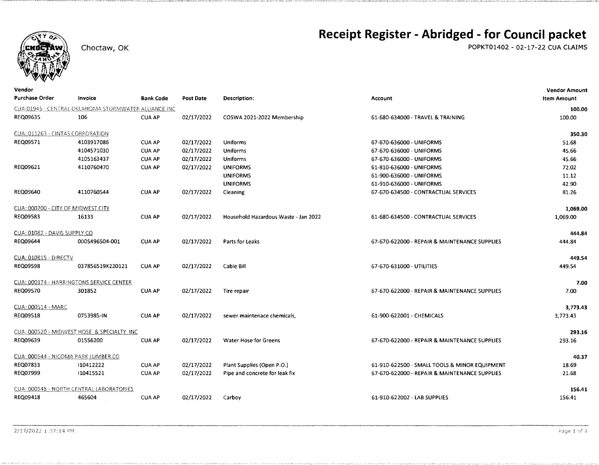

Vendor

#### Choctaw, OK

### Receipt Register - Abridged - for Council packet

POPKT01402 - 02-17-22 CUA CLAIMS

**Vendor Amount** 

| <b>Purchase Order</b>              | Invoice                                              | <b>Bank Code</b> | Post Date  | <b>Description:</b>                  | Account                                       | <b>Item Amount</b> |
|------------------------------------|------------------------------------------------------|------------------|------------|--------------------------------------|-----------------------------------------------|--------------------|
|                                    | CUA:01945 - CENTRAL OKLAHOMA STORMWATER ALLIANCE INC |                  |            |                                      |                                               | 100.00             |
| REQ09635                           | 106                                                  | <b>CUA AP</b>    | 02/17/2022 | COSWA 2021-2022 Membership           | 61-680-634000 - TRAVEL & TRAINING             | 100.00             |
| CUA: 011263 - CINTAS CORPORATION   |                                                      |                  |            |                                      |                                               | 350.30             |
| REQ09571                           | 4103917086                                           | <b>CUA AP</b>    | 02/17/2022 | Uniforms                             | 67-670-636000 - UNIFORMS                      | 51.68              |
|                                    | 4104571030                                           | <b>CUA AP</b>    | 02/17/2022 | <b>Uniforms</b>                      | 67-670-636000 - UNIFORMS                      | 45.66              |
|                                    | 4105163437                                           | <b>CUA AP</b>    | 02/17/2022 | <b>Uniforms</b>                      | 67-670-636000 - UNIFORMS                      | 45.66              |
| REQ09621                           | 4110760470                                           | <b>CUA AP</b>    | 02/17/2022 | <b>UNIFORMS</b>                      | 61-810-636000 - UNIFORMS                      | 72.02              |
|                                    |                                                      |                  |            | <b>UNIFORMS</b>                      | 61-900-636000 - UNIFORMS                      | 11.12              |
|                                    |                                                      |                  |            | <b>UNIFORMS</b>                      | 61-910-636000 - UNIFORMS                      | 42.90              |
| REQ09640                           | 4110760544                                           | <b>CUA AP</b>    | 02/17/2022 | Cleaning                             | 67-670-634500 - CONTRACTUAL SERVICES          | 81.26              |
| CUA: 000200 - CITY OF MIDWEST CITY |                                                      |                  |            |                                      |                                               | 1,069.00           |
| REQ09583                           | 16133                                                | <b>CUA AP</b>    | 02/17/2022 | Household Hazardous Waste - Jan 2022 | 61-680-634500 - CONTRACTUAL SERVICES          | 1,069.00           |
| CUA: 01082 - DAVIS SUPPLY CO       |                                                      |                  |            |                                      |                                               | 444.84             |
| REQ09644                           | 0005496504-001                                       | <b>CUA AP</b>    | 02/17/2022 | Parts for Leaks                      | 67-670-622000 - REPAIR & MAINTENANCE SUPPLIES | 444.84             |
| <b>CUA: 010815 - DIRECTV</b>       |                                                      |                  |            |                                      |                                               | 449.54             |
| <b>REQ09598</b>                    | 037856519X220121                                     | <b>CUA AP</b>    | 02/17/2022 | Cable Bill                           | 67-670-631000 - UTILITIES                     | 449.54             |
|                                    | CUA: 000374 - HARRINGTONS SERVICE CENTER             |                  |            |                                      |                                               | 7.00               |
| REQ09570                           | 301852                                               | <b>CUA AP</b>    | 02/17/2022 | Tire repair                          | 67-670-622000 - REPAIR & MAINTENANCE SUPPLIES | 7.00               |
| CUA: 000514 - MARC                 |                                                      |                  |            |                                      |                                               | 3,773.43           |
| REQ09518                           | 0753985-IN                                           | <b>CUA AP</b>    | 02/17/2022 | sewer maintenace chemicals,          | 61-900-622001 - CHEMICALS                     | 3,773.43           |
|                                    | CUA: 000520 - MIDWEST HOSE & SPECIALTY INC           |                  |            |                                      |                                               | 293.16             |
| REQ09639                           | 01556200                                             | <b>CUA AP</b>    | 02/17/2022 | <b>Water Hose for Greens</b>         | 67-670-622000 - REPAIR & MAINTENANCE SUPPLIES | 293.16             |
|                                    | CUA: 000544 - NICOMA PARK LUMBER CO                  |                  |            |                                      |                                               | 40.37              |
| REQ07833                           | 110412222                                            | <b>CUA AP</b>    | 02/17/2022 | Plant Supplies (Open P.O.)           | 61-910-622500 - SMALL TOOLS & MINOR EQUIPMENT | 18.69              |
| REQ07999                           | 110415521                                            | <b>CUA AP</b>    | 02/17/2022 | Pipe and concrete for leak fix       | 67-670-622000 - REPAIR & MAINTENANCE SUPPLIES | 21.68              |
|                                    | CUA: 000548 - NORTH CENTRAL LABORATORIES             |                  |            |                                      |                                               | 156.41             |
| REQ09418                           | 465604                                               | <b>CUA AP</b>    | 02/17/2022 | Carboy                               | 61-910-622002 - LAB SUPPLIES                  | 156.41             |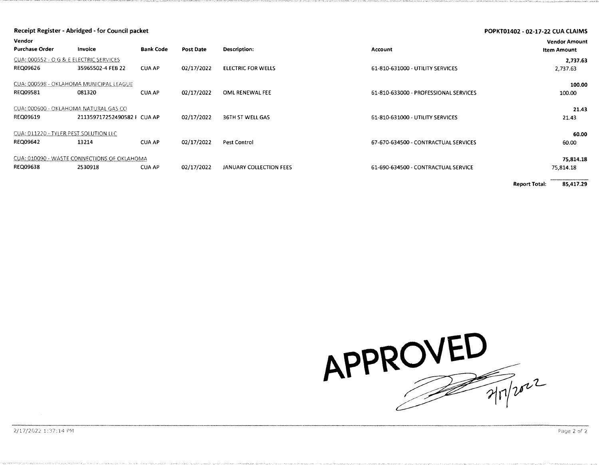| Vendor                                                   | Receipt Register - Abridged - for Council packet<br>POPKT01402 - 02-17-22 CUA CLAIMS |                  |            |                           |                                       |                                            |
|----------------------------------------------------------|--------------------------------------------------------------------------------------|------------------|------------|---------------------------|---------------------------------------|--------------------------------------------|
| <b>Purchase Order</b>                                    | <b>Invoice</b>                                                                       | <b>Bank Code</b> | Post Date  | Description:              | <b>Account</b>                        | <b>Vendor Amount</b><br><b>Item Amount</b> |
| CUA: 000552 - O G & E ELECTRIC SERVICES<br>REQ09626      | 35965502-4 FEB 22                                                                    | <b>CUA AP</b>    | 02/17/2022 | <b>ELECTRIC FOR WELLS</b> | 61-810-631000 - UTILITY SERVICES      | 2,737.63<br>2,737.63                       |
| CUA: 000598 - OKLAHOMA MUNICIPAL LEAGUE<br>REQ09581      | 081320                                                                               | <b>CUA AP</b>    | 02/17/2022 | OML RENEWAL FEE           | 61-810-633000 - PROFESSIONAL SERVICES | 100.00<br>100.00                           |
| CUA: 000600 - OKLAHOMA NATURAL GAS CO<br>REQ09619        | 211359717252490582   CUA AP                                                          |                  | 02/17/2022 | 36TH ST WELL GAS          | 61-810-631000 - UTILITY SERVICES      | 21.43<br>21.43                             |
| CUA: 011220 - TYLER PEST SOLUTION LLC<br><b>REQ09642</b> | 13214                                                                                | <b>CUA AP</b>    | 02/17/2022 | <b>Pest Control</b>       | 67-670-634500 - CONTRACTUAL SERVICES  | 60.00<br>60.00                             |
| REQ09638                                                 | CUA: 010090 - WASTE CONNECTIONS OF OKLAHOMA<br>2530918                               | <b>CUA AP</b>    | 02/17/2022 | JANUARY COLLECTION FEES   | 61-690-634500 - CONTRACTUAL SERVICE   | 75,814.18<br>75,814.18                     |

**Report Total:** 85,417.29

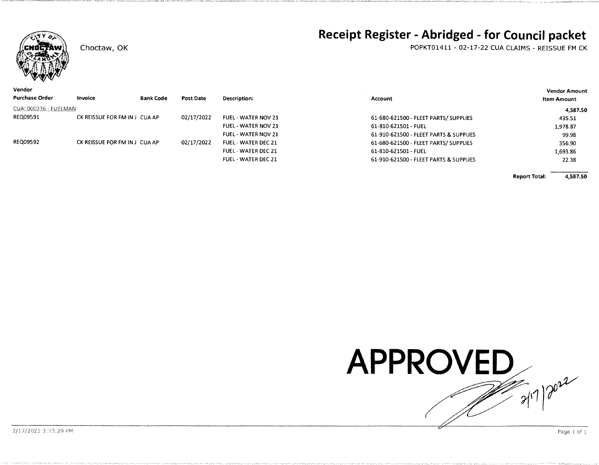

Choctaw, OK

### Receipt Register - Abridged - for Council packet

POPKT01411 - 02-17-22 CUA CLAIMS - REISSUE FM CK

| Vendor                |                               |                  |            |                            |                                        | <b>Vendor Amount</b> |  |
|-----------------------|-------------------------------|------------------|------------|----------------------------|----------------------------------------|----------------------|--|
| <b>Purchase Order</b> | <b>Invoice</b>                | <b>Bank Code</b> | Post Date  | Description:               | Account                                | Item Amount          |  |
| CUA: 000336 - FUELMAN |                               |                  |            |                            |                                        | 4,587.50             |  |
| REQ09591              | CK REISSUE FOR FM IN J CUA AP |                  | 02/17/2022 | <b>FUEL - WATER NOV 21</b> | 61-680-621500 - FLEET PARTS/SUPPLIES   | 435.51               |  |
|                       |                               |                  |            | FUEL - WATER NOV 21        | 61-810-621501 - FUEL                   | 1,978.87             |  |
|                       |                               |                  |            | <b>FUEL - WATER NOV 21</b> | 61-910-621500 - FLEET PARTS & SUPPLIES | 99.98                |  |
| <b>REQ09592</b>       | CK REISSUE FOR FM IN J CUA AP |                  | 02/17/2022 | <b>FUEL - WATER DEC 21</b> | 61-680-621500 - FLEET PARTS/ SUPPLIES  | 356.90               |  |
|                       |                               |                  |            | <b>FUEL - WATER DEC 21</b> | 61-810-621501 - FUEL                   | 1,693.86             |  |
|                       |                               |                  |            | FUEL - WATER DEC 21        | 61-910-621500 - FLEET PARTS & SUPPLIES | 22.38                |  |

4,587.50 **Report Total:** 



2/17/2022 3:33:29 PM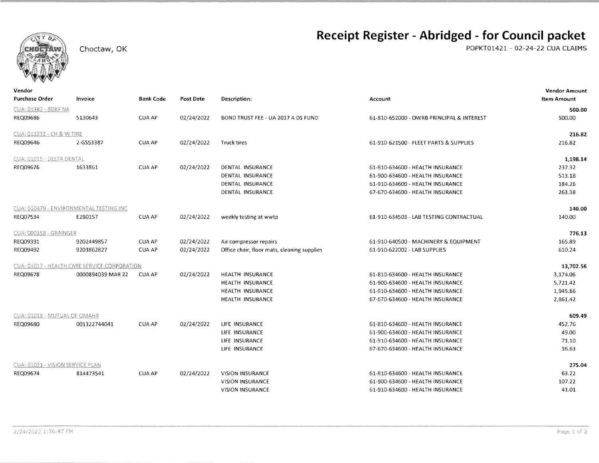

Choctaw, OK

### Receipt Register - Abridged - for Council packet

POPKT01421 - 02-24-22 CUA CLAIMS

| venaor<br>Purchase Order         | Invoice                                      | <b>Bank Code</b> | Post Date  | Description:                                | Account                                   | Vendor Amount<br><b>Item Amount</b> |
|----------------------------------|----------------------------------------------|------------------|------------|---------------------------------------------|-------------------------------------------|-------------------------------------|
| CUA: 01382 - BOKF NA             |                                              |                  |            |                                             |                                           | 500.00                              |
| REQ09686                         | 5130643                                      | <b>CUA AP</b>    | 02/24/2022 | BOND TRUST FEE - UA 2017 A DS FUND          | 61-810-652000 - OWRB PRINCIPAL & INTEREST | 500.00                              |
| CUA: 011332 - CH & W TIRE        |                                              |                  |            |                                             |                                           | 216.82                              |
| REQ09646                         | 2-GS53387                                    | <b>CUA AP</b>    | 02/24/2022 | <b>Truck tires</b>                          | 61-910-621500 - FLEET PARTS & SUPPLIES    | 216.82                              |
| CUA: 01015 - DELTA DENTAL        |                                              |                  |            |                                             |                                           | 1,198.14                            |
| REQ09676                         | 1633861                                      | <b>CUA AP</b>    | 02/24/2022 | DENTAL INSURANCE                            | 61-810-634600 - HEALTH INSURANCE          | 237.32                              |
|                                  |                                              |                  |            | DENTAL INSURANCE                            | 61-900-634600 - HEALTH INSURANCE          | 513.18                              |
|                                  |                                              |                  |            | DENTAL INSURANCE                            | 61-910-634600 - HEALTH INSURANCE          | 184.26                              |
|                                  |                                              |                  |            | DENTAL INSURANCE                            | 67-670-634600 - HEALTH INSURANCE          | 263.38                              |
|                                  | CUA: 010479 - ENVIRONMENTAL TESTING INC      |                  |            |                                             |                                           | 140.00                              |
| REQ07534                         | E2B0157                                      | CUA AP           | 02/24/2022 | weekly testing at wwtp                      | 61-910-634503 - LAB TESTING CONTRACTUAL   | 140.00                              |
| CUA: 000358 - GRAINGER           |                                              |                  |            |                                             |                                           | 776.13                              |
| REQ09391                         | 9202449857                                   | <b>CUA AP</b>    | 02/24/2022 | Air compressor repairs                      | 61-910-640500 - MACHINERY & EQUIPMENT     | 165.89                              |
| REQ09492                         | 9203862827                                   | <b>CUA AP</b>    | 02/24/2022 | Office chair, floor mats, cleaning supplies | 61-910-622002 - LAB SUPPLIES              | 610.24                              |
|                                  | CUA: 01017 - HEALTH CARE SERVICE CORPORATION |                  |            |                                             |                                           | 13,702.56                           |
| REQ09678                         | 0000894039 MAR 22                            | <b>CUA AP</b>    | 02/24/2022 | HEALTH INSURANCE                            | 61-810-634600 - HEALTH INSURANCE          | 3,174.06                            |
|                                  |                                              |                  |            | <b>HEALTH INSURANCE</b>                     | 61-900-634600 - HEALTH INSURANCE          | 5,721.42                            |
|                                  |                                              |                  |            | HEALTH INSURANCE                            | 61-910-634600 - HEALTH INSURANCE          | 1,945.66                            |
|                                  |                                              |                  |            | HEALTH INSURANCE                            | 67-670-634600 - HEALTH INSURANCE          | 2,861.42                            |
| CUA: 01018 - MUTUAL OF OMAHA     |                                              |                  |            |                                             |                                           | 609.49                              |
| REQ09680                         | 001322744041                                 | <b>CUA AP</b>    | 02/24/2022 | LIFE INSURANCE                              | 61-810-634600 - HEALTH INSURANCE          | 452.76                              |
|                                  |                                              |                  |            | LIFE INSURANCE                              | 61-900-634600 - HEALTH INSURANCE          | 49.00                               |
|                                  |                                              |                  |            | LIFE INSURANCE                              | 61-910-634600 - HEALTH INSURANCE          | 71.10                               |
|                                  |                                              |                  |            | LIFE INSURANCE                              | 67-670-634600 - HEALTH INSURANCE          | 36.63                               |
| CUA: 01021 - VISION SERVICE PLAN |                                              |                  |            |                                             |                                           | 275.04                              |
| REQ09674                         | 814473541                                    | <b>CUA AP</b>    | 02/24/2022 | <b>VISION INSURANCE</b>                     | 61-810-634600 - HEALTH INSURANCE          | 63.22                               |
|                                  |                                              |                  |            | <b>VISION INSURANCE</b>                     | 61-900-634600 - HEALTH INSURANCE          | 107.22                              |
|                                  |                                              |                  |            | <b>VISION INSURANCE</b>                     | 61-910-634600 - HEALTH INSURANCE          | 41.01                               |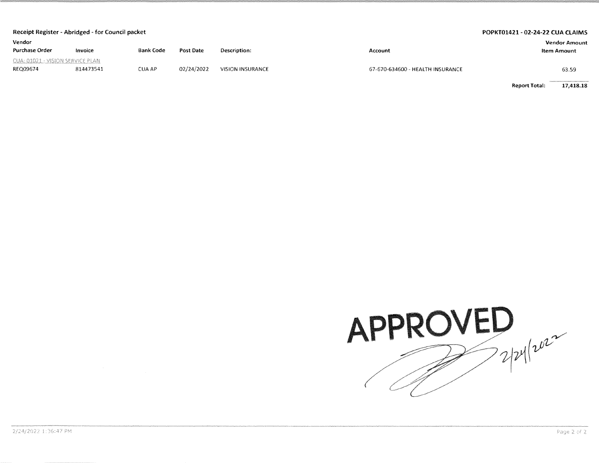| Receipt Register - Abridged - for Council packet |           |                  |            |                         |                                  | POPKT01421 - 02-24-22 CUA CLAIMS |
|--------------------------------------------------|-----------|------------------|------------|-------------------------|----------------------------------|----------------------------------|
| Vendor                                           |           |                  |            |                         |                                  | <b>Vendor Amount</b>             |
| <b>Purchase Order</b>                            | Invoice   | <b>Bank Code</b> | Post Date  | Description:            | Account                          | Item Amount                      |
| CUA: 01021 - VISION SERVICE PLAN                 |           |                  |            |                         |                                  |                                  |
| REQ09674                                         | 814473541 | <b>CUA AP</b>    | 02/24/2022 | <b>VISION INSURANCE</b> | 67-670-634600 - HEALTH INSURANCE | 63.59                            |

**Report Total:** 17,418.18